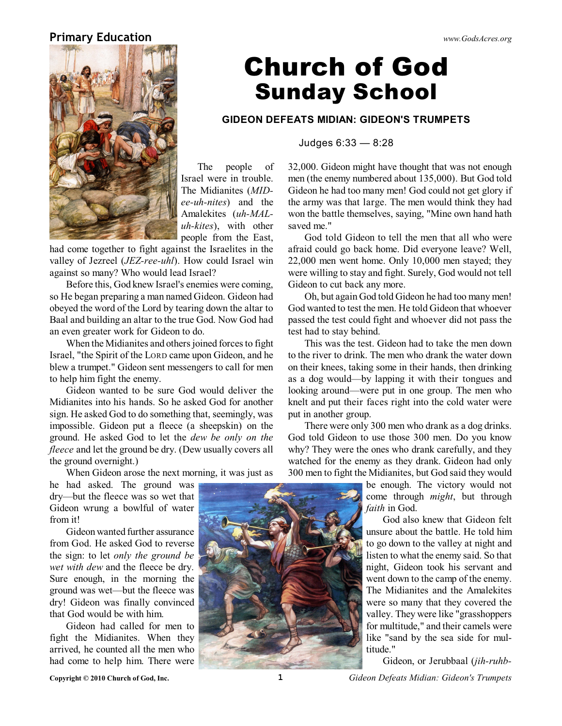### **Primary Education** *www.GodsAcres.org*



# **Church of God Sunday School**

### **GIDEON DEFEATS MIDIAN: GIDEON'S TRUMPETS**

Judges 6:33 — 8:28

The people of Israel were in trouble. The Midianites (*MIDee-uh-nites*) and the Amalekites (*uh-MALuh-kites*), with other people from the East,

had come together to fight against the Israelites in the valley of Jezreel (*JEZ-ree-uhl*). How could Israel win against so many? Who would lead Israel?

Before this, God knew Israel's enemies were coming, so He began preparing a man named Gideon. Gideon had obeyed the word of the Lord by tearing down the altar to Baal and building an altar to the true God. Now God had an even greater work for Gideon to do.

When the Midianites and others joined forces to fight Israel, "the Spirit of the LORD came upon Gideon, and he blew a trumpet." Gideon sent messengers to call for men to help him fight the enemy.

Gideon wanted to be sure God would deliver the Midianites into his hands. So he asked God for another sign. He asked God to do something that, seemingly, was impossible. Gideon put a fleece (a sheepskin) on the ground. He asked God to let the *dew be only on the fleece* and let the ground be dry. (Dew usually covers all the ground overnight.)

When Gideon arose the next morning, it was just as

he had asked. The ground was dry—but the fleece was so wet that Gideon wrung a bowlful of water from it!

Gideon wanted further assurance from God. He asked God to reverse the sign: to let *only the ground be wet with dew* and the fleece be dry. Sure enough, in the morning the ground was wet—but the fleece was dry! Gideon was finally convinced that God would be with him.

Gideon had called for men to fight the Midianites. When they arrived, he counted all the men who had come to help him. There were

32,000. Gideon might have thought that was not enough men (the enemy numbered about 135,000). But God told Gideon he had too many men! God could not get glory if the army was that large. The men would think they had won the battle themselves, saying, "Mine own hand hath saved me."

God told Gideon to tell the men that all who were afraid could go back home. Did everyone leave? Well, 22,000 men went home. Only 10,000 men stayed; they were willing to stay and fight. Surely, God would not tell Gideon to cut back any more.

Oh, but again God told Gideon he had too many men! God wanted to test the men. He told Gideon that whoever passed the test could fight and whoever did not pass the test had to stay behind.

This was the test. Gideon had to take the men down to the river to drink. The men who drank the water down on their knees, taking some in their hands, then drinking as a dog would—by lapping it with their tongues and looking around—were put in one group. The men who knelt and put their faces right into the cold water were put in another group.

There were only 300 men who drank as a dog drinks. God told Gideon to use those 300 men. Do you know why? They were the ones who drank carefully, and they watched for the enemy as they drank. Gideon had only 300 men to fight the Midianites, but God said they would

> be enough. The victory would not come through *might*, but through *faith* in God.

God also knew that Gideon felt unsure about the battle. He told him to go down to the valley at night and listen to what the enemy said. So that night, Gideon took his servant and went down to the camp of the enemy. The Midianites and the Amalekites were so many that they covered the valley. They were like "grasshoppers for multitude," and their camels were like "sand by the sea side for multitude."

Gideon, or Jerubbaal (*jih-ruhb-*



**Copyright © 2010 Church of God, Inc. 1** *Gideon Defeats Midian: Gideon's Trumpets*